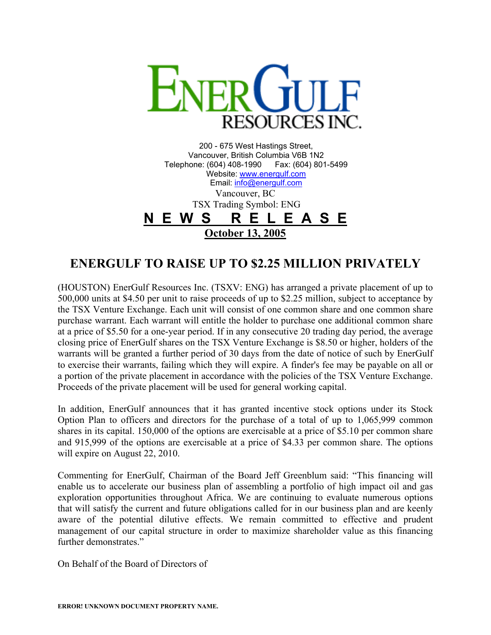

200 - 675 West Hastings Street, Vancouver, British Columbia V6B 1N2 Telephone: (604) 408-1990 Fax: (604) 801-5499 Website: [www.energulf.com](http://www.energulf.com/) Email: [info@energulf.com](mailto:info@energulf.com) Vancouver, BC TSX Trading Symbol: ENG **N E W S R E L E A S E October 13, 2005**

## **ENERGULF TO RAISE UP TO \$2.25 MILLION PRIVATELY**

(HOUSTON) EnerGulf Resources Inc. (TSXV: ENG) has arranged a private placement of up to 500,000 units at \$4.50 per unit to raise proceeds of up to \$2.25 million, subject to acceptance by the TSX Venture Exchange. Each unit will consist of one common share and one common share purchase warrant. Each warrant will entitle the holder to purchase one additional common share at a price of \$5.50 for a one-year period. If in any consecutive 20 trading day period, the average closing price of EnerGulf shares on the TSX Venture Exchange is \$8.50 or higher, holders of the warrants will be granted a further period of 30 days from the date of notice of such by EnerGulf to exercise their warrants, failing which they will expire. A finder's fee may be payable on all or a portion of the private placement in accordance with the policies of the TSX Venture Exchange. Proceeds of the private placement will be used for general working capital.

In addition, EnerGulf announces that it has granted incentive stock options under its Stock Option Plan to officers and directors for the purchase of a total of up to 1,065,999 common shares in its capital. 150,000 of the options are exercisable at a price of \$5.10 per common share and 915,999 of the options are exercisable at a price of \$4.33 per common share. The options will expire on August 22, 2010.

Commenting for EnerGulf, Chairman of the Board Jeff Greenblum said: "This financing will enable us to accelerate our business plan of assembling a portfolio of high impact oil and gas exploration opportunities throughout Africa. We are continuing to evaluate numerous options that will satisfy the current and future obligations called for in our business plan and are keenly aware of the potential dilutive effects. We remain committed to effective and prudent management of our capital structure in order to maximize shareholder value as this financing further demonstrates."

On Behalf of the Board of Directors of